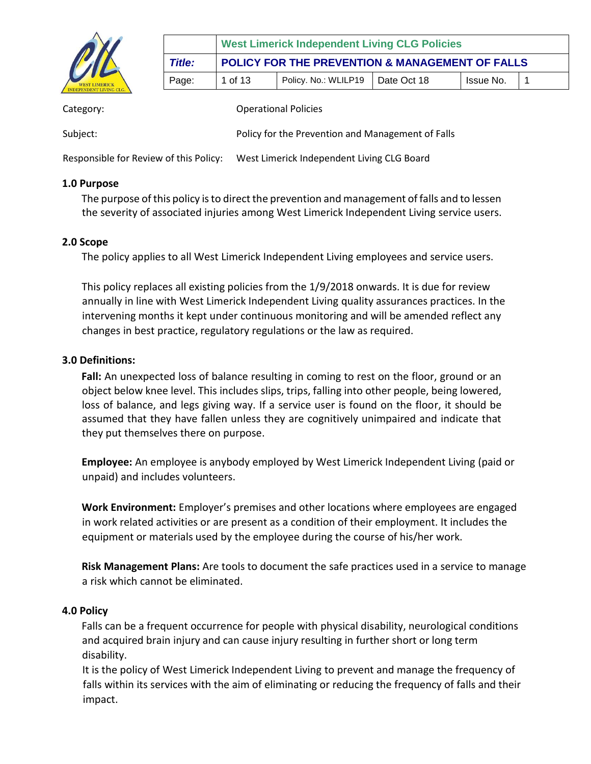

|               | <b>West Limerick Independent Living CLG Policies</b> |                                    |  |           |  |  |
|---------------|------------------------------------------------------|------------------------------------|--|-----------|--|--|
| <b>Title:</b> | POLICY FOR THE PREVENTION & MANAGEMENT OF FALLS      |                                    |  |           |  |  |
| Page:         | 1 of 13                                              | Policy. No.: WLILP19   Date Oct 18 |  | Issue No. |  |  |

| Category:                            | <b>Operational Policies</b>                       |
|--------------------------------------|---------------------------------------------------|
| Subject:                             | Policy for the Prevention and Management of Falls |
| Becapeible for Boview of this Boliau | West Limerick Indonendent Living CLC Board        |

Responsible for Review of this Policy: West Limerick Independent Living CLG Board

#### **1.0 Purpose**

The purpose of this policy is to direct the prevention and management of falls and to lessen the severity of associated injuries among West Limerick Independent Living service users.

#### **2.0 Scope**

The policy applies to all West Limerick Independent Living employees and service users.

This policy replaces all existing policies from the 1/9/2018 onwards. It is due for review annually in line with West Limerick Independent Living quality assurances practices. In the intervening months it kept under continuous monitoring and will be amended reflect any changes in best practice, regulatory regulations or the law as required.

## **3.0 Definitions:**

Fall: An unexpected loss of balance resulting in coming to rest on the floor, ground or an object below knee level. This includes slips, trips, falling into other people, being lowered, loss of balance, and legs giving way. If a service user is found on the floor, it should be assumed that they have fallen unless they are cognitively unimpaired and indicate that they put themselves there on purpose.

**Employee:** An employee is anybody employed by West Limerick Independent Living (paid or unpaid) and includes volunteers.

**Work Environment:** Employer's premises and other locations where employees are engaged in work related activities or are present as a condition of their employment. It includes the equipment or materials used by the employee during the course of his/her work.

**Risk Management Plans:** Are tools to document the safe practices used in a service to manage a risk which cannot be eliminated.

## **4.0 Policy**

Falls can be a frequent occurrence for people with physical disability, neurological conditions and acquired brain injury and can cause injury resulting in further short or long term disability.

It is the policy of West Limerick Independent Living to prevent and manage the frequency of falls within its services with the aim of eliminating or reducing the frequency of falls and their impact.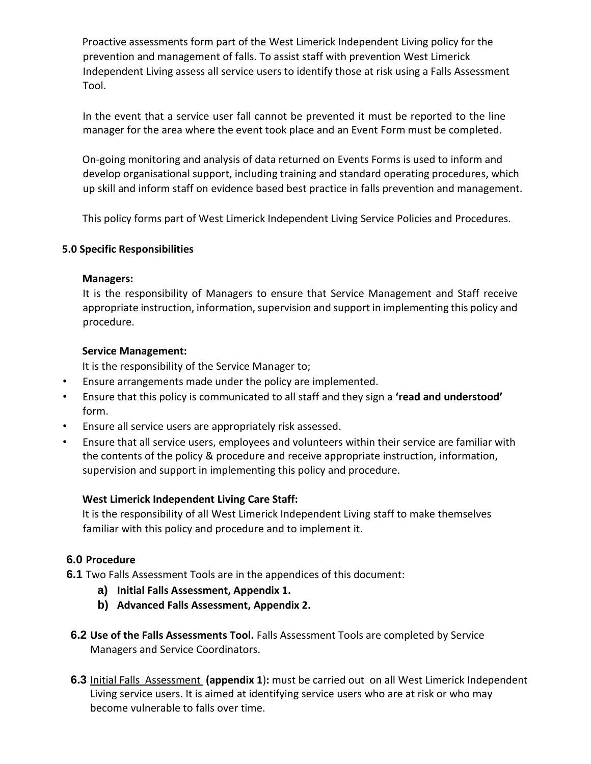Proactive assessments form part of the West Limerick Independent Living policy for the prevention and management of falls. To assist staff with prevention West Limerick Independent Living assess all service users to identify those at risk using a Falls Assessment Tool.

In the event that a service user fall cannot be prevented it must be reported to the line manager for the area where the event took place and an Event Form must be completed.

On-going monitoring and analysis of data returned on Events Forms is used to inform and develop organisational support, including training and standard operating procedures, which up skill and inform staff on evidence based best practice in falls prevention and management.

This policy forms part of West Limerick Independent Living Service Policies and Procedures.

## **5.0 Specific Responsibilities**

#### **Managers:**

It is the responsibility of Managers to ensure that Service Management and Staff receive appropriate instruction, information, supervision and support in implementing this policy and procedure.

## **Service Management:**

It is the responsibility of the Service Manager to;

- Ensure arrangements made under the policy are implemented.
- Ensure that this policy is communicated to all staff and they sign a **'read and understood'**  form.
- Ensure all service users are appropriately risk assessed.
- Ensure that all service users, employees and volunteers within their service are familiar with the contents of the policy & procedure and receive appropriate instruction, information, supervision and support in implementing this policy and procedure.

## **West Limerick Independent Living Care Staff:**

It is the responsibility of all West Limerick Independent Living staff to make themselves familiar with this policy and procedure and to implement it.

# **6.0 Procedure**

- **6.1** Two Falls Assessment Tools are in the appendices of this document:
	- **a) Initial Falls Assessment, Appendix 1.**
	- **b) Advanced Falls Assessment, Appendix 2.**
- **6.2 Use of the Falls Assessments Tool.** Falls Assessment Tools are completed by Service Managers and Service Coordinators.
- **6.3** Initial Falls Assessment **(appendix 1**)**:** must be carried out on all West Limerick Independent Living service users. It is aimed at identifying service users who are at risk or who may become vulnerable to falls over time.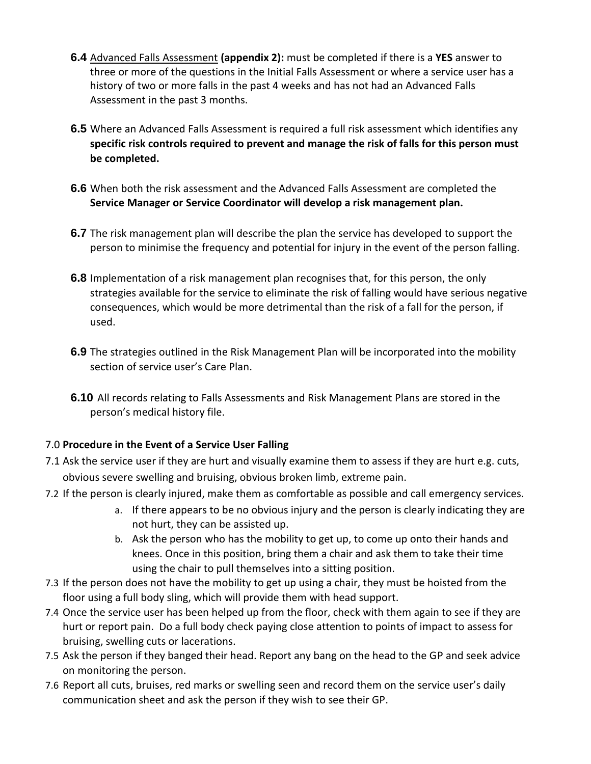- **6.4** Advanced Falls Assessment **(appendix 2):** must be completed if there is a **YES** answer to three or more of the questions in the Initial Falls Assessment or where a service user has a history of two or more falls in the past 4 weeks and has not had an Advanced Falls Assessment in the past 3 months.
- **6.5** Where an Advanced Falls Assessment is required a full risk assessment which identifies any **specific risk controls required to prevent and manage the risk of falls for this person must be completed.**
- **6.6** When both the risk assessment and the Advanced Falls Assessment are completed the **Service Manager or Service Coordinator will develop a risk management plan.**
- **6.7** The risk management plan will describe the plan the service has developed to support the person to minimise the frequency and potential for injury in the event of the person falling.
- **6.8** Implementation of a risk management plan recognises that, for this person, the only strategies available for the service to eliminate the risk of falling would have serious negative consequences, which would be more detrimental than the risk of a fall for the person, if used.
- **6.9** The strategies outlined in the Risk Management Plan will be incorporated into the mobility section of service user's Care Plan.
- **6.10** All records relating to Falls Assessments and Risk Management Plans are stored in the person's medical history file.

## 7.0 **Procedure in the Event of a Service User Falling**

- 7.1 Ask the service user if they are hurt and visually examine them to assess if they are hurt e.g. cuts, obvious severe swelling and bruising, obvious broken limb, extreme pain.
- 7.2 If the person is clearly injured, make them as comfortable as possible and call emergency services.
	- a. If there appears to be no obvious injury and the person is clearly indicating they are not hurt, they can be assisted up.
	- b. Ask the person who has the mobility to get up, to come up onto their hands and knees. Once in this position, bring them a chair and ask them to take their time using the chair to pull themselves into a sitting position.
- 7.3 If the person does not have the mobility to get up using a chair, they must be hoisted from the floor using a full body sling, which will provide them with head support.
- 7.4 Once the service user has been helped up from the floor, check with them again to see if they are hurt or report pain. Do a full body check paying close attention to points of impact to assess for bruising, swelling cuts or lacerations.
- 7.5 Ask the person if they banged their head. Report any bang on the head to the GP and seek advice on monitoring the person.
- 7.6 Report all cuts, bruises, red marks or swelling seen and record them on the service user's daily communication sheet and ask the person if they wish to see their GP.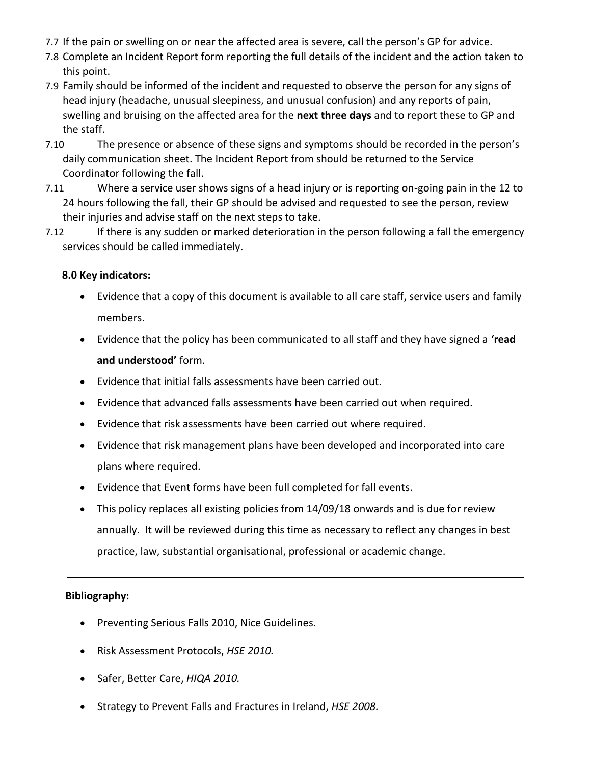- 7.7 If the pain or swelling on or near the affected area is severe, call the person's GP for advice.
- 7.8 Complete an Incident Report form reporting the full details of the incident and the action taken to this point.
- 7.9 Family should be informed of the incident and requested to observe the person for any signs of head injury (headache, unusual sleepiness, and unusual confusion) and any reports of pain, swelling and bruising on the affected area for the **next three days** and to report these to GP and the staff.
- 7.10 The presence or absence of these signs and symptoms should be recorded in the person's daily communication sheet. The Incident Report from should be returned to the Service Coordinator following the fall.
- 7.11 Where a service user shows signs of a head injury or is reporting on-going pain in the 12 to 24 hours following the fall, their GP should be advised and requested to see the person, review their injuries and advise staff on the next steps to take.
- 7.12 If there is any sudden or marked deterioration in the person following a fall the emergency services should be called immediately.

# **8.0 Key indicators:**

- Evidence that a copy of this document is available to all care staff, service users and family members.
- Evidence that the policy has been communicated to all staff and they have signed a **'read and understood'** form.
- Evidence that initial falls assessments have been carried out.
- Evidence that advanced falls assessments have been carried out when required.
- Evidence that risk assessments have been carried out where required.
- Evidence that risk management plans have been developed and incorporated into care plans where required.
- Evidence that Event forms have been full completed for fall events.
- This policy replaces all existing policies from 14/09/18 onwards and is due for review annually. It will be reviewed during this time as necessary to reflect any changes in best practice, law, substantial organisational, professional or academic change.

## **Bibliography:**

- Preventing Serious Falls 2010, Nice Guidelines.
- Risk Assessment Protocols, *HSE 2010.*
- Safer, Better Care, *HIQA 2010.*
- Strategy to Prevent Falls and Fractures in Ireland, *HSE 2008.*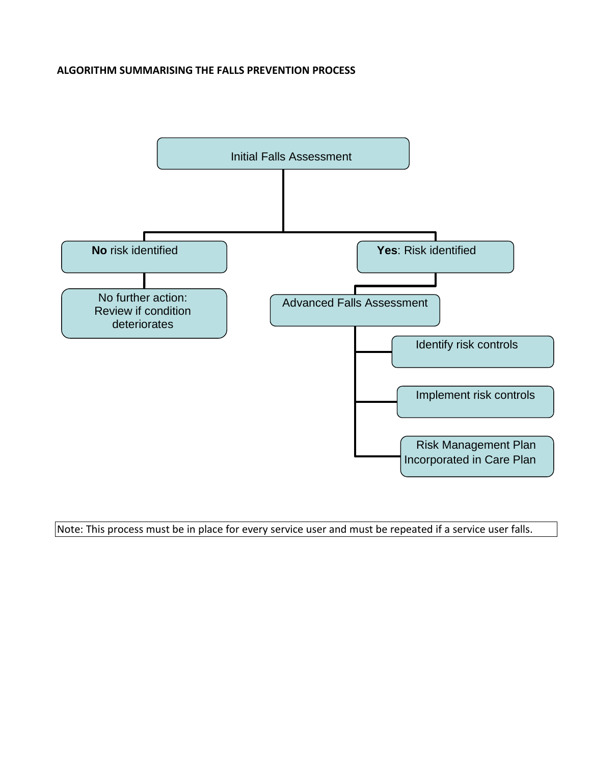#### **ALGORITHM SUMMARISING THE FALLS PREVENTION PROCESS**



Note: This process must be in place for every service user and must be repeated if a service user falls.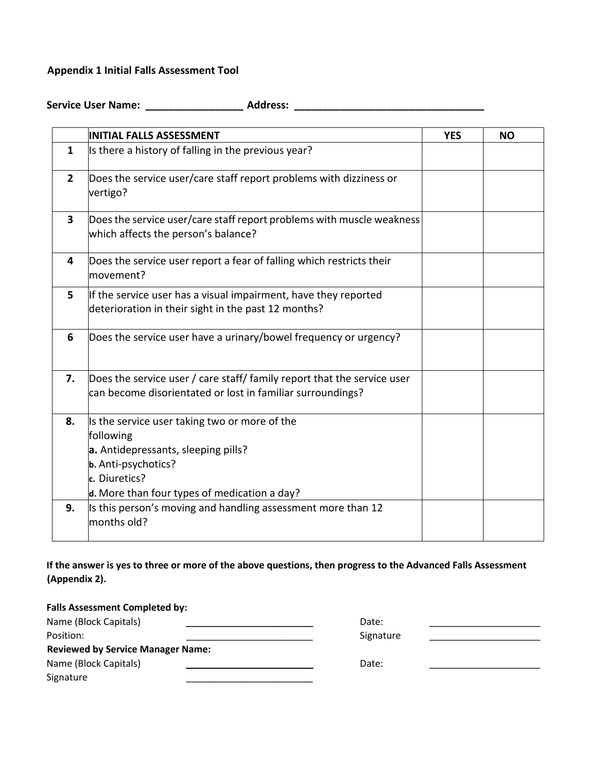#### **Appendix 1 Initial Falls Assessment Tool**

**Service User Name: \_\_\_\_\_\_\_\_\_\_\_\_\_\_\_\_\_ Address: \_\_\_\_\_\_\_\_\_\_\_\_\_\_\_\_\_\_\_\_\_\_\_\_\_\_\_\_\_\_\_\_\_**

|                | <b>INITIAL FALLS ASSESSMENT</b>                                                                                                                                                           | <b>YES</b> | <b>NO</b> |
|----------------|-------------------------------------------------------------------------------------------------------------------------------------------------------------------------------------------|------------|-----------|
| $\mathbf{1}$   | Is there a history of falling in the previous year?                                                                                                                                       |            |           |
| $\overline{2}$ | Does the service user/care staff report problems with dizziness or<br>vertigo?                                                                                                            |            |           |
| 3              | Does the service user/care staff report problems with muscle weakness<br>which affects the person's balance?                                                                              |            |           |
| 4              | Does the service user report a fear of falling which restricts their<br>movement?                                                                                                         |            |           |
| 5              | If the service user has a visual impairment, have they reported<br>deterioration in their sight in the past 12 months?                                                                    |            |           |
| 6              | Does the service user have a urinary/bowel frequency or urgency?                                                                                                                          |            |           |
| 7.             | Does the service user / care staff/ family report that the service user<br>can become disorientated or lost in familiar surroundings?                                                     |            |           |
| 8.             | Is the service user taking two or more of the<br>following<br>a. Antidepressants, sleeping pills?<br>b. Anti-psychotics?<br>c. Diuretics?<br>d. More than four types of medication a day? |            |           |
| 9.             | Is this person's moving and handling assessment more than 12<br>months old?                                                                                                               |            |           |

# **If the answer is yes to three or more of the above questions, then progress to the Advanced Falls Assessment (Appendix 2).**

| <b>Falls Assessment Completed by:</b>    |           |  |
|------------------------------------------|-----------|--|
| Name (Block Capitals)                    | Date:     |  |
| Position:                                | Signature |  |
| <b>Reviewed by Service Manager Name:</b> |           |  |
| Name (Block Capitals)                    | Date:     |  |
| Signature                                |           |  |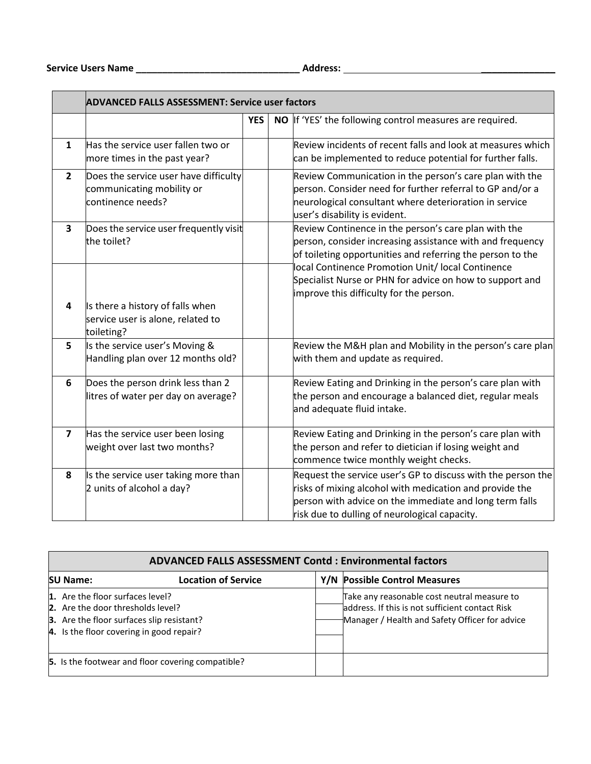|                         | <b>ADVANCED FALLS ASSESSMENT: Service user factors</b>                                  |            |                                                                                                                                                                                                                                                                                                                                             |  |  |
|-------------------------|-----------------------------------------------------------------------------------------|------------|---------------------------------------------------------------------------------------------------------------------------------------------------------------------------------------------------------------------------------------------------------------------------------------------------------------------------------------------|--|--|
|                         |                                                                                         | <b>YES</b> | NO If 'YES' the following control measures are required.                                                                                                                                                                                                                                                                                    |  |  |
| $\mathbf{1}$            | Has the service user fallen two or<br>more times in the past year?                      |            | Review incidents of recent falls and look at measures which<br>can be implemented to reduce potential for further falls.                                                                                                                                                                                                                    |  |  |
| $\overline{2}$          | Does the service user have difficulty<br>communicating mobility or<br>continence needs? |            | Review Communication in the person's care plan with the<br>person. Consider need for further referral to GP and/or a<br>neurological consultant where deterioration in service<br>user's disability is evident.                                                                                                                             |  |  |
| $\overline{\mathbf{3}}$ | Does the service user frequently visit<br>the toilet?                                   |            | Review Continence in the person's care plan with the<br>person, consider increasing assistance with and frequency<br>of toileting opportunities and referring the person to the<br>local Continence Promotion Unit/ local Continence<br>Specialist Nurse or PHN for advice on how to support and<br>improve this difficulty for the person. |  |  |
| 4                       | Is there a history of falls when<br>service user is alone, related to<br>toileting?     |            |                                                                                                                                                                                                                                                                                                                                             |  |  |
| 5                       | Is the service user's Moving &<br>Handling plan over 12 months old?                     |            | Review the M&H plan and Mobility in the person's care plan<br>with them and update as required.                                                                                                                                                                                                                                             |  |  |
| 6                       | Does the person drink less than 2<br>litres of water per day on average?                |            | Review Eating and Drinking in the person's care plan with<br>the person and encourage a balanced diet, regular meals<br>and adequate fluid intake.                                                                                                                                                                                          |  |  |
| $\overline{7}$          | Has the service user been losing<br>weight over last two months?                        |            | Review Eating and Drinking in the person's care plan with<br>the person and refer to dietician if losing weight and<br>commence twice monthly weight checks.                                                                                                                                                                                |  |  |
| 8                       | Is the service user taking more than<br>2 units of alcohol a day?                       |            | Request the service user's GP to discuss with the person the<br>risks of mixing alcohol with medication and provide the<br>person with advice on the immediate and long term falls<br>risk due to dulling of neurological capacity.                                                                                                         |  |  |

| <b>ADVANCED FALLS ASSESSMENT Contd: Environmental factors</b>                                                                                                         |                            |  |                                                                                                                                                  |  |  |  |
|-----------------------------------------------------------------------------------------------------------------------------------------------------------------------|----------------------------|--|--------------------------------------------------------------------------------------------------------------------------------------------------|--|--|--|
| <b>SU Name:</b>                                                                                                                                                       | <b>Location of Service</b> |  | Y/N Possible Control Measures                                                                                                                    |  |  |  |
| 1. Are the floor surfaces level?<br><b>2.</b> Are the door thresholds level?<br>3. Are the floor surfaces slip resistant?<br>4. Is the floor covering in good repair? |                            |  | Take any reasonable cost neutral measure to<br>address. If this is not sufficient contact Risk<br>Manager / Health and Safety Officer for advice |  |  |  |
| 5. Is the footwear and floor covering compatible?                                                                                                                     |                            |  |                                                                                                                                                  |  |  |  |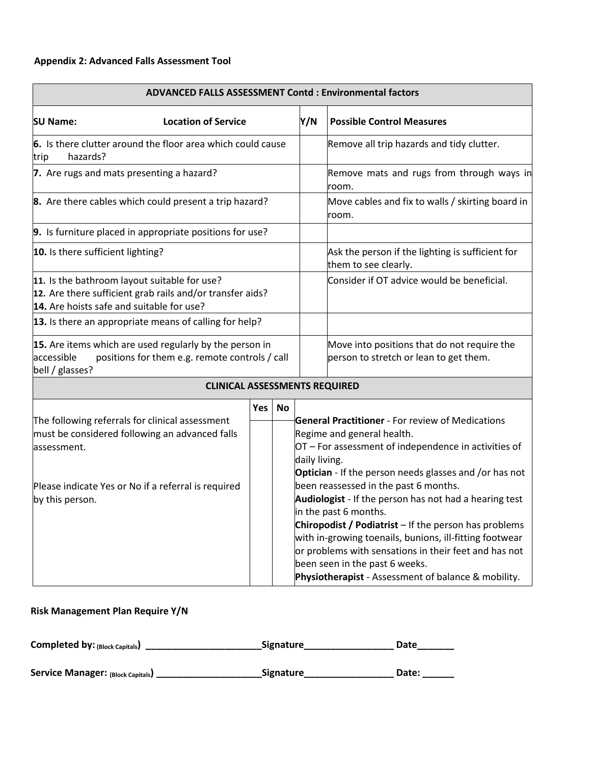| <b>ADVANCED FALLS ASSESSMENT Contd: Environmental factors</b>                                                                                                             |                                                                                                           |     |                                                                                                                                                                                                                          |                                                                          |                                                                                       |  |
|---------------------------------------------------------------------------------------------------------------------------------------------------------------------------|-----------------------------------------------------------------------------------------------------------|-----|--------------------------------------------------------------------------------------------------------------------------------------------------------------------------------------------------------------------------|--------------------------------------------------------------------------|---------------------------------------------------------------------------------------|--|
| <b>SU Name:</b>                                                                                                                                                           | <b>Location of Service</b>                                                                                |     |                                                                                                                                                                                                                          | Y/N                                                                      | <b>Possible Control Measures</b>                                                      |  |
| hazards?<br>trip                                                                                                                                                          | 6. Is there clutter around the floor area which could cause                                               |     |                                                                                                                                                                                                                          |                                                                          | Remove all trip hazards and tidy clutter.                                             |  |
| 7. Are rugs and mats presenting a hazard?                                                                                                                                 |                                                                                                           |     |                                                                                                                                                                                                                          |                                                                          | Remove mats and rugs from through ways in<br>room.                                    |  |
|                                                                                                                                                                           | 8. Are there cables which could present a trip hazard?                                                    |     |                                                                                                                                                                                                                          |                                                                          | Move cables and fix to walls / skirting board in<br>room.                             |  |
|                                                                                                                                                                           | 9. Is furniture placed in appropriate positions for use?                                                  |     |                                                                                                                                                                                                                          |                                                                          |                                                                                       |  |
| 10. Is there sufficient lighting?                                                                                                                                         |                                                                                                           |     |                                                                                                                                                                                                                          | Ask the person if the lighting is sufficient for<br>them to see clearly. |                                                                                       |  |
| 11. Is the bathroom layout suitable for use?<br>12. Are there sufficient grab rails and/or transfer aids?<br>14. Are hoists safe and suitable for use?                    |                                                                                                           |     |                                                                                                                                                                                                                          | Consider if OT advice would be beneficial.                               |                                                                                       |  |
|                                                                                                                                                                           | 13. Is there an appropriate means of calling for help?                                                    |     |                                                                                                                                                                                                                          |                                                                          |                                                                                       |  |
| accessible<br>bell / glasses?                                                                                                                                             | 15. Are items which are used regularly by the person in<br>positions for them e.g. remote controls / call |     |                                                                                                                                                                                                                          |                                                                          | Move into positions that do not require the<br>person to stretch or lean to get them. |  |
|                                                                                                                                                                           | <b>CLINICAL ASSESSMENTS REQUIRED</b>                                                                      |     |                                                                                                                                                                                                                          |                                                                          |                                                                                       |  |
|                                                                                                                                                                           |                                                                                                           | Yes | <b>No</b>                                                                                                                                                                                                                |                                                                          |                                                                                       |  |
| assessment.                                                                                                                                                               | The following referrals for clinical assessment<br>must be considered following an advanced falls         |     | <b>General Practitioner</b> - For review of Medications<br>Regime and general health.<br>OT - For assessment of independence in activities of<br>daily living.<br>Optician - If the person needs glasses and /or has not |                                                                          |                                                                                       |  |
| been reassessed in the past 6 months.<br>Please indicate Yes or No if a referral is required<br>Audiologist - If the person has not had a hearing test<br>by this person. |                                                                                                           |     |                                                                                                                                                                                                                          |                                                                          |                                                                                       |  |

in the past 6 months.

been seen in the past 6 weeks.

**Chiropodist / Podiatrist** – If the person has problems with in-growing toenails, bunions, ill-fitting footwear or problems with sensations in their feet and has not

**Physiotherapist** - Assessment of balance & mobility.

**Risk Management Plan Require Y/N**

| <b>Completed by: (Block Capitals)</b>    | <b>Signature</b> | Date  |
|------------------------------------------|------------------|-------|
| <b>Service Manager: (Block Capitals)</b> | <b>Signature</b> | Date: |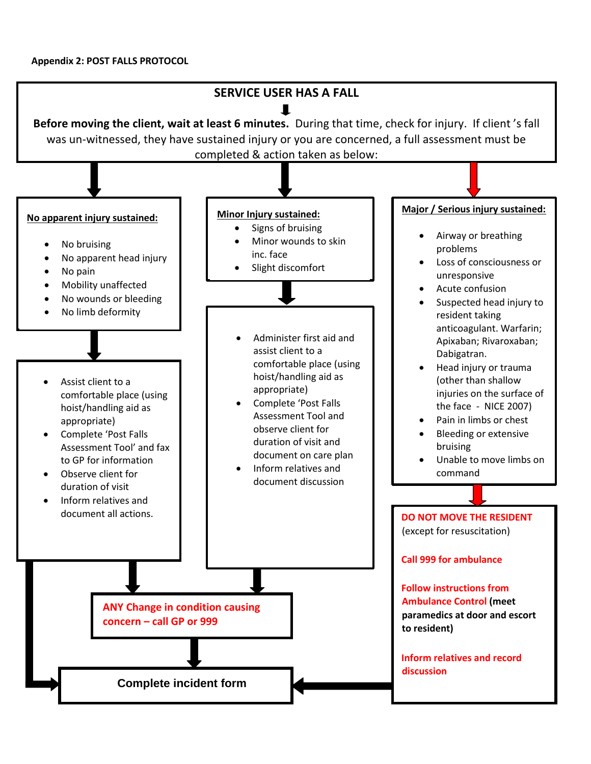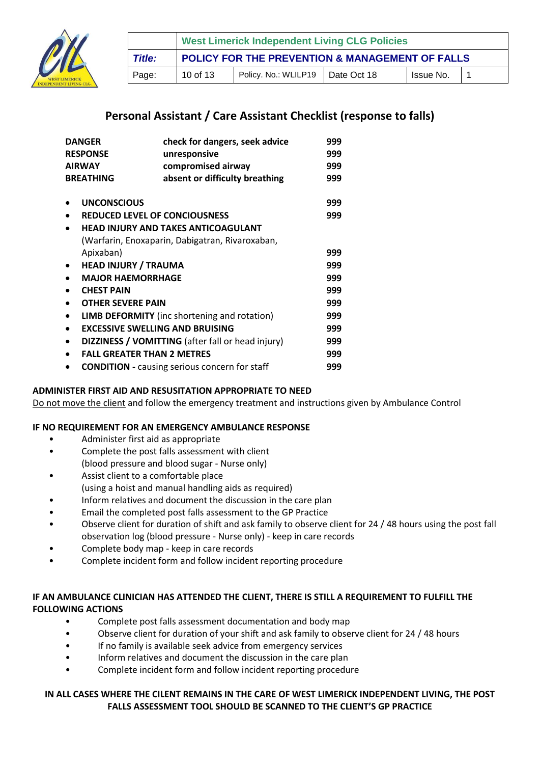

|               | <b>West Limerick Independent Living CLG Policies</b> |                      |             |           |  |  |  |
|---------------|------------------------------------------------------|----------------------|-------------|-----------|--|--|--|
| <b>Title:</b> | POLICY FOR THE PREVENTION & MANAGEMENT OF FALLS      |                      |             |           |  |  |  |
| Page:         | 10 of 13                                             | Policy. No.: WLILP19 | Date Oct 18 | Issue No. |  |  |  |

# **Personal Assistant / Care Assistant Checklist (response to falls)**

| <b>DANGER</b><br>check for dangers, seek advice |                                                      | 999                                                      |     |
|-------------------------------------------------|------------------------------------------------------|----------------------------------------------------------|-----|
| <b>RESPONSE</b><br>unresponsive                 |                                                      | 999                                                      |     |
|                                                 | <b>AIRWAY</b>                                        | compromised airway                                       | 999 |
|                                                 | <b>BREATHING</b>                                     | absent or difficulty breathing                           | 999 |
|                                                 |                                                      |                                                          |     |
|                                                 | <b>UNCONSCIOUS</b>                                   |                                                          | 999 |
| $\bullet$                                       |                                                      | <b>REDUCED LEVEL OF CONCIOUSNESS</b>                     | 999 |
|                                                 |                                                      | <b>HEAD INJURY AND TAKES ANTICOAGULANT</b>               |     |
|                                                 |                                                      | (Warfarin, Enoxaparin, Dabigatran, Rivaroxaban,          |     |
|                                                 | Apixaban)                                            |                                                          | 999 |
| $\bullet$                                       | <b>HEAD INJURY / TRAUMA</b>                          |                                                          | 999 |
|                                                 | <b>MAJOR HAEMORRHAGE</b>                             |                                                          | 999 |
|                                                 | <b>CHEST PAIN</b>                                    |                                                          | 999 |
| $\bullet$                                       | <b>OTHER SEVERE PAIN</b>                             |                                                          | 999 |
| $\bullet$                                       |                                                      | <b>LIMB DEFORMITY</b> (inc shortening and rotation)      | 999 |
| $\bullet$                                       |                                                      | <b>EXCESSIVE SWELLING AND BRUISING</b>                   | 999 |
| $\bullet$                                       |                                                      | <b>DIZZINESS / VOMITTING</b> (after fall or head injury) | 999 |
|                                                 | <b>FALL GREATER THAN 2 METRES</b>                    |                                                          | 999 |
|                                                 | <b>CONDITION</b> - causing serious concern for staff |                                                          |     |

#### **ADMINISTER FIRST AID AND RESUSITATION APPROPRIATE TO NEED**

Do not move the client and follow the emergency treatment and instructions given by Ambulance Control

#### **IF NO REQUIREMENT FOR AN EMERGENCY AMBULANCE RESPONSE**

- Administer first aid as appropriate
- Complete the post falls assessment with client (blood pressure and blood sugar - Nurse only)
- Assist client to a comfortable place (using a hoist and manual handling aids as required)
- Inform relatives and document the discussion in the care plan
- Email the completed post falls assessment to the GP Practice
- Observe client for duration of shift and ask family to observe client for 24 / 48 hours using the post fall observation log (blood pressure - Nurse only) - keep in care records
- Complete body map keep in care records
- Complete incident form and follow incident reporting procedure

#### **IF AN AMBULANCE CLINICIAN HAS ATTENDED THE CLIENT, THERE IS STILL A REQUIREMENT TO FULFILL THE FOLLOWING ACTIONS**

- Complete post falls assessment documentation and body map
- Observe client for duration of your shift and ask family to observe client for 24 / 48 hours
- If no family is available seek advice from emergency services
- Inform relatives and document the discussion in the care plan
- Complete incident form and follow incident reporting procedure

#### **IN ALL CASES WHERE THE CILENT REMAINS IN THE CARE OF WEST LIMERICK INDEPENDENT LIVING, THE POST FALLS ASSESSMENT TOOL SHOULD BE SCANNED TO THE CLIENT'S GP PRACTICE**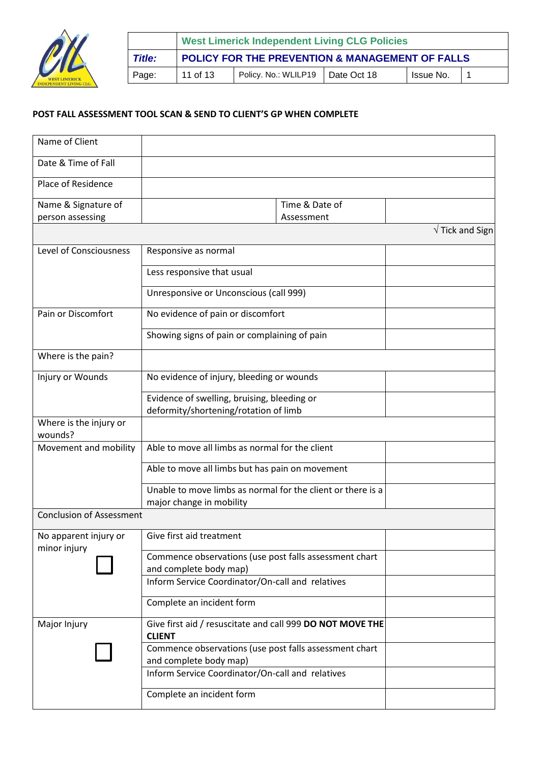

|        | <b>West Limerick Independent Living CLG Policies</b> |                                    |  |           |  |  |  |
|--------|------------------------------------------------------|------------------------------------|--|-----------|--|--|--|
| Title: | POLICY FOR THE PREVENTION & MANAGEMENT OF FALLS      |                                    |  |           |  |  |  |
| Page:  | 11 of 13                                             | Policy. No.: WLILP19   Date Oct 18 |  | Issue No. |  |  |  |

#### **POST FALL ASSESSMENT TOOL SCAN & SEND TO CLIENT'S GP WHEN COMPLETE**

| Name of Client                        |                                                                                  |                         |  |  |  |
|---------------------------------------|----------------------------------------------------------------------------------|-------------------------|--|--|--|
| Date & Time of Fall                   |                                                                                  |                         |  |  |  |
| Place of Residence                    |                                                                                  |                         |  |  |  |
| Name & Signature of                   | Time & Date of                                                                   |                         |  |  |  |
| person assessing                      | Assessment                                                                       |                         |  |  |  |
|                                       |                                                                                  | $\sqrt{}$ Tick and Sign |  |  |  |
| <b>Level of Consciousness</b>         | Responsive as normal                                                             |                         |  |  |  |
|                                       | Less responsive that usual                                                       |                         |  |  |  |
|                                       | Unresponsive or Unconscious (call 999)                                           |                         |  |  |  |
| Pain or Discomfort                    | No evidence of pain or discomfort                                                |                         |  |  |  |
|                                       | Showing signs of pain or complaining of pain                                     |                         |  |  |  |
| Where is the pain?                    |                                                                                  |                         |  |  |  |
| Injury or Wounds                      | No evidence of injury, bleeding or wounds                                        |                         |  |  |  |
|                                       | Evidence of swelling, bruising, bleeding or                                      |                         |  |  |  |
|                                       | deformity/shortening/rotation of limb                                            |                         |  |  |  |
| Where is the injury or<br>wounds?     |                                                                                  |                         |  |  |  |
| Movement and mobility                 | Able to move all limbs as normal for the client                                  |                         |  |  |  |
|                                       | Able to move all limbs but has pain on movement                                  |                         |  |  |  |
|                                       | Unable to move limbs as normal for the client or there is a                      |                         |  |  |  |
|                                       | major change in mobility                                                         |                         |  |  |  |
| <b>Conclusion of Assessment</b>       |                                                                                  |                         |  |  |  |
| No apparent injury or<br>minor injury | Give first aid treatment                                                         |                         |  |  |  |
|                                       | Commence observations (use post falls assessment chart<br>and complete body map) |                         |  |  |  |
|                                       | Inform Service Coordinator/On-call and relatives                                 |                         |  |  |  |
|                                       | Complete an incident form                                                        |                         |  |  |  |
| Major Injury                          | Give first aid / resuscitate and call 999 DO NOT MOVE THE<br><b>CLIENT</b>       |                         |  |  |  |
|                                       | Commence observations (use post falls assessment chart<br>and complete body map) |                         |  |  |  |
|                                       | Inform Service Coordinator/On-call and relatives                                 |                         |  |  |  |
|                                       | Complete an incident form                                                        |                         |  |  |  |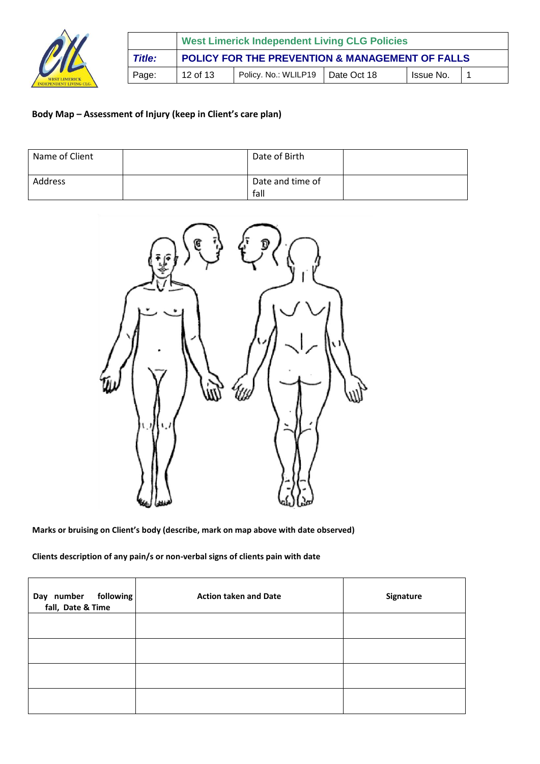

|               | <b>West Limerick Independent Living CLG Policies</b> |                                    |  |           |  |
|---------------|------------------------------------------------------|------------------------------------|--|-----------|--|
| <b>Title:</b> | POLICY FOR THE PREVENTION & MANAGEMENT OF FALLS      |                                    |  |           |  |
| Page:         | 12 of 13                                             | Policy. No.: WLILP19   Date Oct 18 |  | Issue No. |  |

# **Body Map – Assessment of Injury (keep in Client's care plan)**

| Name of Client | Date of Birth            |  |
|----------------|--------------------------|--|
| Address        | Date and time of<br>fall |  |



**Marks or bruising on Client's body (describe, mark on map above with date observed)** 

**Clients description of any pain/s or non-verbal signs of clients pain with date** 

| Day number following<br>fall, Date & Time | <b>Action taken and Date</b> | Signature |
|-------------------------------------------|------------------------------|-----------|
|                                           |                              |           |
|                                           |                              |           |
|                                           |                              |           |
|                                           |                              |           |